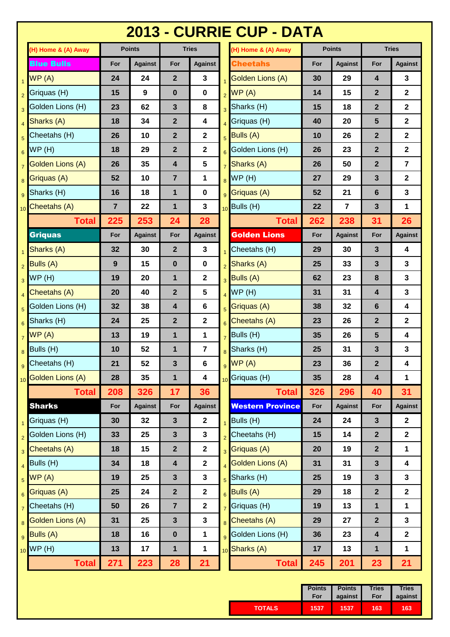|                 | 2013 - CURRIE CUP - DATA |                |                  |                         |                                     |                 |                         |     |                         |                         |                |
|-----------------|--------------------------|----------------|------------------|-------------------------|-------------------------------------|-----------------|-------------------------|-----|-------------------------|-------------------------|----------------|
|                 | (H) Home & (A) Away      |                | <b>Points</b>    |                         | <b>Tries</b><br>(H) Home & (A) Away |                 | <b>Points</b>           |     | <b>Tries</b>            |                         |                |
|                 | <b>Blue Bulls</b>        | For            | <b>Against</b>   | For                     | <b>Against</b>                      |                 | <b>Cheetahs</b>         | For | <b>Against</b>          | For                     | <b>Against</b> |
| $\mathbf{1}$    | WP(A)                    | 24             | 24               | $\overline{2}$          | $\mathbf{3}$                        |                 | Golden Lions (A)        | 30  | 29                      | 4                       | 3              |
| $\overline{2}$  | Griquas (H)              | 15             | $\boldsymbol{9}$ | $\mathbf 0$             | 0                                   | $\overline{2}$  | WP(A)                   | 14  | 15                      | $\mathbf 2$             | $\mathbf 2$    |
| 3               | Golden Lions (H)         | 23             | 62               | $\mathbf{3}$            | 8                                   | $\overline{3}$  | Sharks (H)              | 15  | 18                      | $\mathbf{2}$            | $\mathbf{2}$   |
| $\overline{4}$  | Sharks (A)               | 18             | 34               | $\mathbf{2}$            | 4                                   |                 | Griquas (H)             | 40  | 20                      | 5                       | $\mathbf 2$    |
| 5               | Cheetahs (H)             | 26             | 10               | $\mathbf{2}$            | $\mathbf{2}$                        | $\overline{5}$  | <b>Bulls (A)</b>        | 10  | 26                      | $\mathbf{2}$            | $\mathbf 2$    |
| 6               | WP(H)                    | 18             | 29               | $\mathbf{2}$            | $\mathbf{2}$                        | 6               | Golden Lions (H)        | 26  | 23                      | $\overline{2}$          | $\mathbf 2$    |
| $\overline{7}$  | Golden Lions (A)         | 26             | 35               | $\overline{\mathbf{4}}$ | $5\phantom{.0}$                     | $\overline{7}$  | Sharks (A)              | 26  | 50                      | $\overline{2}$          | $\overline{7}$ |
| 8               | Griquas (A)              | 52             | 10               | $\overline{7}$          | 1                                   | $\overline{8}$  | WP(H)                   | 27  | 29                      | 3                       | $\mathbf 2$    |
| 9               | Sharks (H)               | 16             | 18               | 1                       | $\bf{0}$                            | $\overline{9}$  | Griquas (A)             | 52  | 21                      | 6                       | 3              |
|                 | 10 Cheetahs (A)          | $\overline{7}$ | 22               | $\mathbf{1}$            | 3                                   |                 | $10$ Bulls (H)          | 22  | $\overline{\mathbf{r}}$ | $\mathbf{3}$            | 1              |
|                 | <b>Total</b>             | 225            | 253              | 24                      | 28                                  |                 | <b>Total</b>            | 262 | 238                     | 31                      | 26             |
|                 | <b>Griquas</b>           | For            | <b>Against</b>   | For                     | <b>Against</b>                      |                 | <b>Golden Lions</b>     | For | <b>Against</b>          | For                     | <b>Against</b> |
| $\mathbf{1}$    | Sharks (A)               | 32             | 30               | $\mathbf{2}$            | $\mathbf{3}$                        |                 | Cheetahs (H)            | 29  | 30                      | 3                       | 4              |
| $\overline{2}$  | <b>Bulls (A)</b>         | 9              | 15               | $\boldsymbol{0}$        | 0                                   | $\overline{2}$  | Sharks (A)              | 25  | 33                      | 3                       | 3              |
| 3               | WP(H)                    | 19             | 20               | $\mathbf{1}$            | $\mathbf{2}$                        | $\overline{3}$  | Bulls (A)               | 62  | 23                      | 8                       | 3              |
| 4               | Cheetahs (A)             | 20             | 40               | $\mathbf{2}$            | 5                                   | $\overline{4}$  | WP(H)                   | 31  | 31                      | 4                       | 3              |
| 5               | Golden Lions (H)         | 32             | 38               | 4                       | 6                                   | $\overline{5}$  | Griquas (A)             | 38  | 32                      | 6                       | 4              |
| $6\phantom{1}$  | Sharks (H)               | 24             | 25               | $\mathbf{2}$            | $\mathbf{2}$                        | $6\overline{6}$ | Cheetahs (A)            | 23  | 26                      | $\mathbf{2}$            | $\mathbf 2$    |
| $\overline{7}$  | WP(A)                    | 13             | 19               | $\mathbf 1$             | $\mathbf 1$                         |                 | Bulls (H)               | 35  | 26                      | 5                       | 4              |
| 8               | Bulls (H)                | 10             | 52               | $\mathbf 1$             | $\overline{\mathbf{r}}$             | 8               | Sharks (H)              | 25  | 31                      | 3                       | 3              |
|                 | <b>g</b> Cheetahs (H)    | 21             | 52               | $\overline{\mathbf{3}}$ | $6\overline{6}$                     |                 | WP(A)                   | 23  | 36                      | $\overline{2}$          | 4              |
|                 | 10 Golden Lions (A)      | 28             | 35               | $\mathbf{1}$            | 4                                   |                 | 10 Griquas (H)          | 35  | 28                      | $\overline{\mathbf{4}}$ | $\mathbf{1}$   |
|                 | <b>Total</b>             | 208            | 326              | 17                      | 36                                  |                 | <b>Total</b>            | 326 | 296                     | 40                      | 31             |
|                 | <b>Sharks</b>            | For            | <b>Against</b>   | For                     | <b>Against</b>                      |                 | <b>Western Province</b> | For | <b>Against</b>          | For                     | <b>Against</b> |
| $\overline{1}$  | Griquas (H)              | 30             | 32               | $\mathbf{3}$            | $\mathbf{2}$                        |                 | Bulls (H)               | 24  | 24                      | 3                       | $\mathbf 2$    |
| $\overline{2}$  | Golden Lions (H)         | 33             | 25               | $\mathbf{3}$            | 3                                   | $\overline{2}$  | Cheetahs (H)            | 15  | 14                      | $\overline{2}$          | $\mathbf 2$    |
| 3               | Cheetahs (A)             | 18             | 15               | $\mathbf{2}$            | $\mathbf{2}$                        | $\overline{3}$  | Griquas (A)             | 20  | 19                      | $\overline{2}$          | 1              |
| 4               | Bulls (H)                | 34             | 18               | $\overline{\mathbf{4}}$ | $\mathbf{2}$                        | $\overline{4}$  | <b>Golden Lions (A)</b> | 31  | 31                      | $\mathbf{3}$            | 4              |
| 5               | WP(A)                    | 19             | 25               | $\mathbf{3}$            | $\mathbf{3}$                        | 5               | Sharks (H)              | 25  | 19                      | $\mathbf{3}$            | 3              |
| $6\phantom{1}6$ | Griquas (A)              | 25             | 24               | $\mathbf{2}$            | $\mathbf{2}$                        | $6\overline{6}$ | <b>Bulls (A)</b>        | 29  | 18                      | $\mathbf{2}$            | $\mathbf 2$    |
| $\overline{7}$  | Cheetahs (H)             | 50             | 26               | $\overline{7}$          | $\mathbf{2}$                        | $\overline{7}$  | Griquas (H)             | 19  | 13                      | 1                       | 1              |
| 8               | <b>Golden Lions (A)</b>  | 31             | 25               | $\mathbf{3}$            | $\mathbf{3}$                        | 8               | Cheetahs (A)            | 29  | 27                      | $\mathbf{2}$            | 3              |
| 9               | Bulls (A)                | 18             | 16               | $\pmb{0}$               | 1                                   | 9               | Golden Lions (H)        | 36  | 23                      | $\boldsymbol{4}$        | $\mathbf 2$    |
|                 | $_{10}$ WP (H)           | 13             | 17               | $\mathbf{1}$            | $\mathbf{1}$                        |                 | 10 Sharks (A)           | 17  | 13                      | 1                       | 1              |
|                 | <b>Total</b>             | 271            | 223              | 28                      | 21                                  |                 | <b>Total</b>            | 245 | 201                     | 23                      | 21             |

|               | For  | Points   Points<br>against | <b>Tries</b><br>For | <b>Tries</b><br>against |
|---------------|------|----------------------------|---------------------|-------------------------|
| <b>TOTALS</b> | 1537 | 1537                       | 163                 | 163                     |